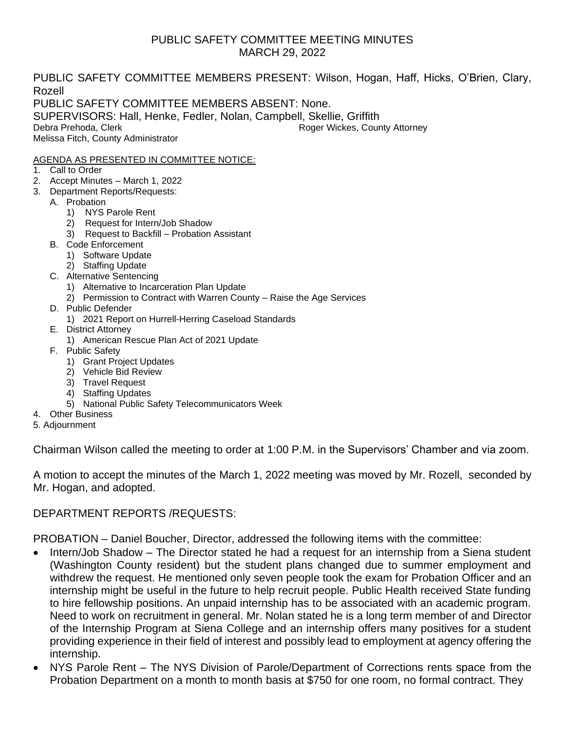## PUBLIC SAFETY COMMITTEE MEETING MINUTES MARCH 29, 2022

PUBLIC SAFETY COMMITTEE MEMBERS PRESENT: Wilson, Hogan, Haff, Hicks, O'Brien, Clary, Rozell PUBLIC SAFETY COMMITTEE MEMBERS ABSENT: None. SUPERVISORS: Hall, Henke, Fedler, Nolan, Campbell, Skellie, Griffith Debra Prehoda, Clerk **Roger Wickes, County Attorney** Melissa Fitch, County Administrator

#### AGENDA AS PRESENTED IN COMMITTEE NOTICE:

- 1. Call to Order
- 2. Accept Minutes March 1, 2022
- 3. Department Reports/Requests:
	- A. Probation
		- 1) NYS Parole Rent
		- 2) Request for Intern/Job Shadow
		- 3) Request to Backfill Probation Assistant
	- B. Code Enforcement
		- 1) Software Update
		- 2) Staffing Update
	- C. Alternative Sentencing
		- 1) Alternative to Incarceration Plan Update
		- 2) Permission to Contract with Warren County Raise the Age Services
	- D. Public Defender
		- 1) 2021 Report on Hurrell-Herring Caseload Standards
	- E. District Attorney
		- 1) American Rescue Plan Act of 2021 Update
	- F. Public Safety
		- 1) Grant Project Updates
		- 2) Vehicle Bid Review
		- 3) Travel Request
		- 4) Staffing Updates
		- 5) National Public Safety Telecommunicators Week
- 4. Other Business
- 5. Adjournment

Chairman Wilson called the meeting to order at 1:00 P.M. in the Supervisors' Chamber and via zoom.

A motion to accept the minutes of the March 1, 2022 meeting was moved by Mr. Rozell, seconded by Mr. Hogan, and adopted.

#### DEPARTMENT REPORTS /REQUESTS:

PROBATION – Daniel Boucher, Director, addressed the following items with the committee:

- Intern/Job Shadow The Director stated he had a request for an internship from a Siena student (Washington County resident) but the student plans changed due to summer employment and withdrew the request. He mentioned only seven people took the exam for Probation Officer and an internship might be useful in the future to help recruit people. Public Health received State funding to hire fellowship positions. An unpaid internship has to be associated with an academic program. Need to work on recruitment in general. Mr. Nolan stated he is a long term member of and Director of the Internship Program at Siena College and an internship offers many positives for a student providing experience in their field of interest and possibly lead to employment at agency offering the internship.
- NYS Parole Rent The NYS Division of Parole/Department of Corrections rents space from the Probation Department on a month to month basis at \$750 for one room, no formal contract. They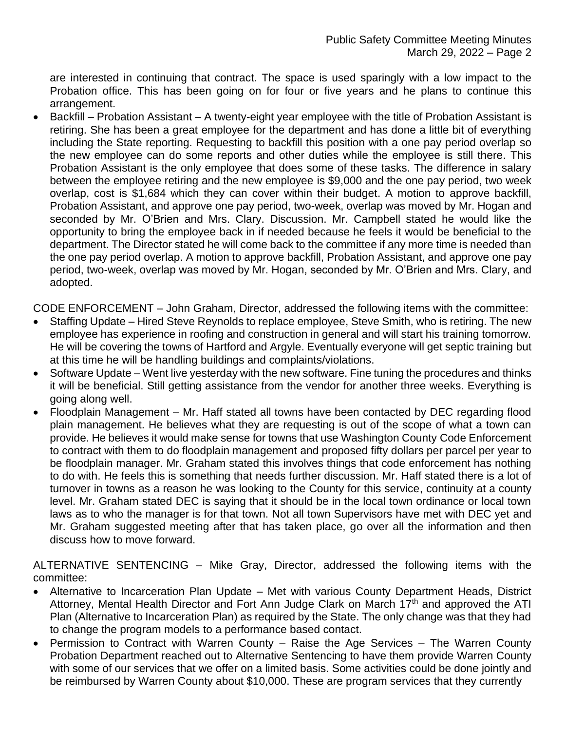are interested in continuing that contract. The space is used sparingly with a low impact to the Probation office. This has been going on for four or five years and he plans to continue this arrangement.

• Backfill – Probation Assistant – A twenty-eight year employee with the title of Probation Assistant is retiring. She has been a great employee for the department and has done a little bit of everything including the State reporting. Requesting to backfill this position with a one pay period overlap so the new employee can do some reports and other duties while the employee is still there. This Probation Assistant is the only employee that does some of these tasks. The difference in salary between the employee retiring and the new employee is \$9,000 and the one pay period, two week overlap, cost is \$1,684 which they can cover within their budget. A motion to approve backfill, Probation Assistant, and approve one pay period, two-week, overlap was moved by Mr. Hogan and seconded by Mr. O'Brien and Mrs. Clary. Discussion. Mr. Campbell stated he would like the opportunity to bring the employee back in if needed because he feels it would be beneficial to the department. The Director stated he will come back to the committee if any more time is needed than the one pay period overlap. A motion to approve backfill, Probation Assistant, and approve one pay period, two-week, overlap was moved by Mr. Hogan, seconded by Mr. O'Brien and Mrs. Clary, and adopted.

CODE ENFORCEMENT – John Graham, Director, addressed the following items with the committee:

- Staffing Update Hired Steve Reynolds to replace employee, Steve Smith, who is retiring. The new employee has experience in roofing and construction in general and will start his training tomorrow. He will be covering the towns of Hartford and Argyle. Eventually everyone will get septic training but at this time he will be handling buildings and complaints/violations.
- Software Update Went live yesterday with the new software. Fine tuning the procedures and thinks it will be beneficial. Still getting assistance from the vendor for another three weeks. Everything is going along well.
- Floodplain Management Mr. Haff stated all towns have been contacted by DEC regarding flood plain management. He believes what they are requesting is out of the scope of what a town can provide. He believes it would make sense for towns that use Washington County Code Enforcement to contract with them to do floodplain management and proposed fifty dollars per parcel per year to be floodplain manager. Mr. Graham stated this involves things that code enforcement has nothing to do with. He feels this is something that needs further discussion. Mr. Haff stated there is a lot of turnover in towns as a reason he was looking to the County for this service, continuity at a county level. Mr. Graham stated DEC is saying that it should be in the local town ordinance or local town laws as to who the manager is for that town. Not all town Supervisors have met with DEC yet and Mr. Graham suggested meeting after that has taken place, go over all the information and then discuss how to move forward.

ALTERNATIVE SENTENCING – Mike Gray, Director, addressed the following items with the committee:

- Alternative to Incarceration Plan Update Met with various County Department Heads, District Attorney, Mental Health Director and Fort Ann Judge Clark on March 17<sup>th</sup> and approved the ATI Plan (Alternative to Incarceration Plan) as required by the State. The only change was that they had to change the program models to a performance based contact.
- Permission to Contract with Warren County Raise the Age Services The Warren County Probation Department reached out to Alternative Sentencing to have them provide Warren County with some of our services that we offer on a limited basis. Some activities could be done jointly and be reimbursed by Warren County about \$10,000. These are program services that they currently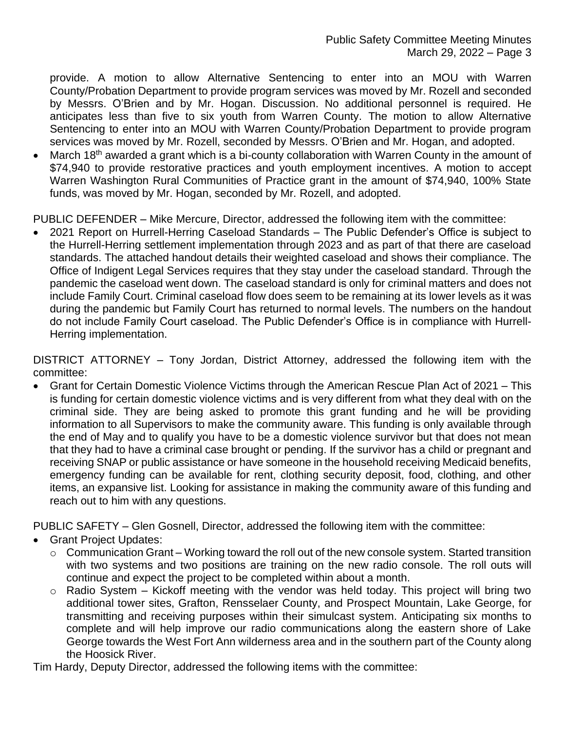provide. A motion to allow Alternative Sentencing to enter into an MOU with Warren County/Probation Department to provide program services was moved by Mr. Rozell and seconded by Messrs. O'Brien and by Mr. Hogan. Discussion. No additional personnel is required. He anticipates less than five to six youth from Warren County. The motion to allow Alternative Sentencing to enter into an MOU with Warren County/Probation Department to provide program services was moved by Mr. Rozell, seconded by Messrs. O'Brien and Mr. Hogan, and adopted.

• March 18<sup>th</sup> awarded a grant which is a bi-county collaboration with Warren County in the amount of \$74,940 to provide restorative practices and youth employment incentives. A motion to accept Warren Washington Rural Communities of Practice grant in the amount of \$74,940, 100% State funds, was moved by Mr. Hogan, seconded by Mr. Rozell, and adopted.

PUBLIC DEFENDER – Mike Mercure, Director, addressed the following item with the committee:

• 2021 Report on Hurrell-Herring Caseload Standards – The Public Defender's Office is subject to the Hurrell-Herring settlement implementation through 2023 and as part of that there are caseload standards. The attached handout details their weighted caseload and shows their compliance. The Office of Indigent Legal Services requires that they stay under the caseload standard. Through the pandemic the caseload went down. The caseload standard is only for criminal matters and does not include Family Court. Criminal caseload flow does seem to be remaining at its lower levels as it was during the pandemic but Family Court has returned to normal levels. The numbers on the handout do not include Family Court caseload. The Public Defender's Office is in compliance with Hurrell-Herring implementation.

DISTRICT ATTORNEY – Tony Jordan, District Attorney, addressed the following item with the committee:

• Grant for Certain Domestic Violence Victims through the American Rescue Plan Act of 2021 – This is funding for certain domestic violence victims and is very different from what they deal with on the criminal side. They are being asked to promote this grant funding and he will be providing information to all Supervisors to make the community aware. This funding is only available through the end of May and to qualify you have to be a domestic violence survivor but that does not mean that they had to have a criminal case brought or pending. If the survivor has a child or pregnant and receiving SNAP or public assistance or have someone in the household receiving Medicaid benefits, emergency funding can be available for rent, clothing security deposit, food, clothing, and other items, an expansive list. Looking for assistance in making the community aware of this funding and reach out to him with any questions.

PUBLIC SAFETY – Glen Gosnell, Director, addressed the following item with the committee:

- Grant Project Updates:
	- $\circ$  Communication Grant Working toward the roll out of the new console system. Started transition with two systems and two positions are training on the new radio console. The roll outs will continue and expect the project to be completed within about a month.
	- $\circ$  Radio System Kickoff meeting with the vendor was held today. This project will bring two additional tower sites, Grafton, Rensselaer County, and Prospect Mountain, Lake George, for transmitting and receiving purposes within their simulcast system. Anticipating six months to complete and will help improve our radio communications along the eastern shore of Lake George towards the West Fort Ann wilderness area and in the southern part of the County along the Hoosick River.

Tim Hardy, Deputy Director, addressed the following items with the committee: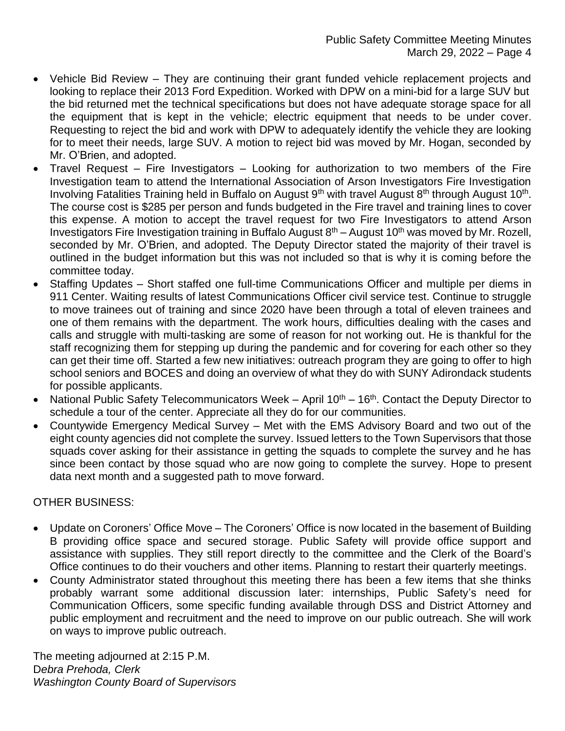- Vehicle Bid Review They are continuing their grant funded vehicle replacement projects and looking to replace their 2013 Ford Expedition. Worked with DPW on a mini-bid for a large SUV but the bid returned met the technical specifications but does not have adequate storage space for all the equipment that is kept in the vehicle; electric equipment that needs to be under cover. Requesting to reject the bid and work with DPW to adequately identify the vehicle they are looking for to meet their needs, large SUV. A motion to reject bid was moved by Mr. Hogan, seconded by Mr. O'Brien, and adopted.
- Travel Request Fire Investigators Looking for authorization to two members of the Fire Investigation team to attend the International Association of Arson Investigators Fire Investigation Involving Fatalities Training held in Buffalo on August 9<sup>th</sup> with travel August 8<sup>th</sup> through August 10<sup>th</sup>. The course cost is \$285 per person and funds budgeted in the Fire travel and training lines to cover this expense. A motion to accept the travel request for two Fire Investigators to attend Arson Investigators Fire Investigation training in Buffalo August  $8<sup>th</sup>$  – August 10<sup>th</sup> was moved by Mr. Rozell, seconded by Mr. O'Brien, and adopted. The Deputy Director stated the majority of their travel is outlined in the budget information but this was not included so that is why it is coming before the committee today.
- Staffing Updates Short staffed one full-time Communications Officer and multiple per diems in 911 Center. Waiting results of latest Communications Officer civil service test. Continue to struggle to move trainees out of training and since 2020 have been through a total of eleven trainees and one of them remains with the department. The work hours, difficulties dealing with the cases and calls and struggle with multi-tasking are some of reason for not working out. He is thankful for the staff recognizing them for stepping up during the pandemic and for covering for each other so they can get their time off. Started a few new initiatives: outreach program they are going to offer to high school seniors and BOCES and doing an overview of what they do with SUNY Adirondack students for possible applicants.
- National Public Safety Telecommunicators Week  $-$  April 10<sup>th</sup>  $-$  16<sup>th</sup>. Contact the Deputy Director to schedule a tour of the center. Appreciate all they do for our communities.
- Countywide Emergency Medical Survey Met with the EMS Advisory Board and two out of the eight county agencies did not complete the survey. Issued letters to the Town Supervisors that those squads cover asking for their assistance in getting the squads to complete the survey and he has since been contact by those squad who are now going to complete the survey. Hope to present data next month and a suggested path to move forward.

#### OTHER BUSINESS:

- Update on Coroners' Office Move The Coroners' Office is now located in the basement of Building B providing office space and secured storage. Public Safety will provide office support and assistance with supplies. They still report directly to the committee and the Clerk of the Board's Office continues to do their vouchers and other items. Planning to restart their quarterly meetings.
- County Administrator stated throughout this meeting there has been a few items that she thinks probably warrant some additional discussion later: internships, Public Safety's need for Communication Officers, some specific funding available through DSS and District Attorney and public employment and recruitment and the need to improve on our public outreach. She will work on ways to improve public outreach.

The meeting adjourned at 2:15 P.M. D*ebra Prehoda, Clerk Washington County Board of Supervisors*